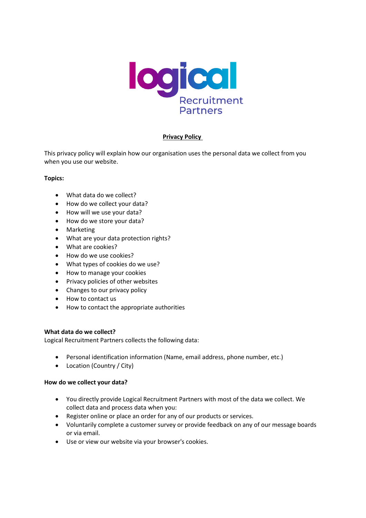

# **Privacy Policy**

This privacy policy will explain how our organisation uses the personal data we collect from you when you use our website.

## **Topics:**

- What data do we collect?
- How do we collect your data?
- How will we use your data?
- How do we store your data?
- Marketing
- What are your data protection rights?
- What are cookies?
- How do we use cookies?
- What types of cookies do we use?
- How to manage your cookies
- Privacy policies of other websites
- Changes to our privacy policy
- How to contact us
- How to contact the appropriate authorities

### **What data do we collect?**

Logical Recruitment Partners collects the following data:

- Personal identification information (Name, email address, phone number, etc.)
- Location (Country / City)

### **How do we collect your data?**

- You directly provide Logical Recruitment Partners with most of the data we collect. We collect data and process data when you:
- Register online or place an order for any of our products or services.
- Voluntarily complete a customer survey or provide feedback on any of our message boards or via email.
- Use or view our website via your browser's cookies.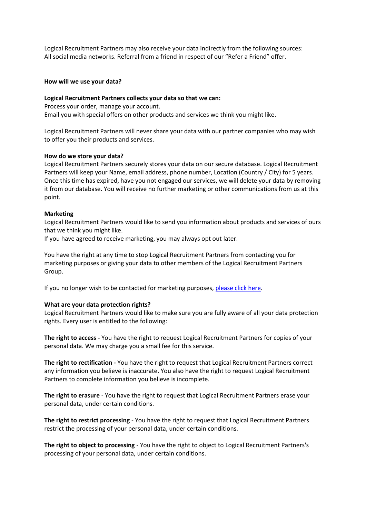Logical Recruitment Partners may also receive your data indirectly from the following sources: All social media networks. Referral from a friend in respect of our "Refer a Friend" offer.

#### **How will we use your data?**

#### **Logical Recruitment Partners collects your data so that we can:**

Process your order, manage your account. Email you with special offers on other products and services we think you might like.

Logical Recruitment Partners will never share your data with our partner companies who may wish to offer you their products and services.

#### **How do we store your data?**

Logical Recruitment Partners securely stores your data on our secure database. Logical Recruitment Partners will keep your Name, email address, phone number, Location (Country / City) for 5 years. Once this time has expired, have you not engaged our services, we will delete your data by removing it from our database. You will receive no further marketing or other communications from us at this point.

#### **Marketing**

Logical Recruitment Partners would like to send you information about products and services of ours that we think you might like.

If you have agreed to receive marketing, you may always opt out later.

You have the right at any time to stop Logical Recruitment Partners from contacting you for marketing purposes or giving your data to other members of the Logical Recruitment Partners Group.

If you no longer wish to be contacted for marketing purposes[, please click here.](mailto:hello@lrp.jobs)

### **What are your data protection rights?**

Logical Recruitment Partners would like to make sure you are fully aware of all your data protection rights. Every user is entitled to the following:

**The right to access -** You have the right to request Logical Recruitment Partners for copies of your personal data. We may charge you a small fee for this service.

**The right to rectification -** You have the right to request that Logical Recruitment Partners correct any information you believe is inaccurate. You also have the right to request Logical Recruitment Partners to complete information you believe is incomplete.

**The right to erasure** - You have the right to request that Logical Recruitment Partners erase your personal data, under certain conditions.

**The right to restrict processing** - You have the right to request that Logical Recruitment Partners restrict the processing of your personal data, under certain conditions.

**The right to object to processing** - You have the right to object to Logical Recruitment Partners's processing of your personal data, under certain conditions.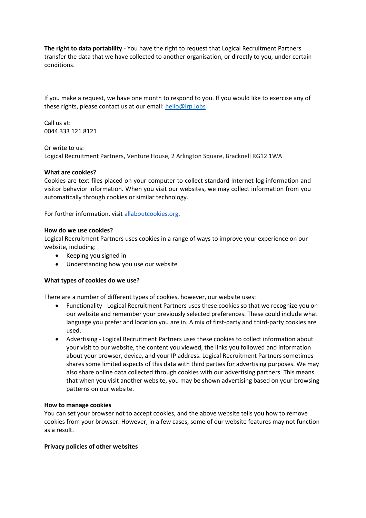**The right to data portability** - You have the right to request that Logical Recruitment Partners transfer the data that we have collected to another organisation, or directly to you, under certain conditions.

If you make a request, we have one month to respond to you. If you would like to exercise any of these rights, please contact us at our email: [hello@lrp.jobs](mailto:hello@lrp.jobs)

Call us at: 0044 333 121 8121

Or write to us:

Logical Recruitment Partners, Venture House, 2 Arlington Square, Bracknell RG12 1WA

### **What are cookies?**

Cookies are text files placed on your computer to collect standard Internet log information and visitor behavior information. When you visit our websites, we may collect information from you automatically through cookies or similar technology.

For further information, visit allaboutcookies.org.

#### **How do we use cookies?**

Logical Recruitment Partners uses cookies in a range of ways to improve your experience on our website, including:

- Keeping you signed in
- Understanding how you use our website

### **What types of cookies do we use?**

There are a number of different types of cookies, however, our website uses:

- Functionality Logical Recruitment Partners uses these cookies so that we recognize you on our website and remember your previously selected preferences. These could include what language you prefer and location you are in. A mix of first-party and third-party cookies are used.
- Advertising Logical Recruitment Partners uses these cookies to collect information about your visit to our website, the content you viewed, the links you followed and information about your browser, device, and your IP address. Logical Recruitment Partners sometimes shares some limited aspects of this data with third parties for advertising purposes. We may also share online data collected through cookies with our advertising partners. This means that when you visit another website, you may be shown advertising based on your browsing patterns on our website.

### **How to manage cookies**

You can set your browser not to accept cookies, and the above website tells you how to remove cookies from your browser. However, in a few cases, some of our website features may not function as a result.

#### **Privacy policies of other websites**